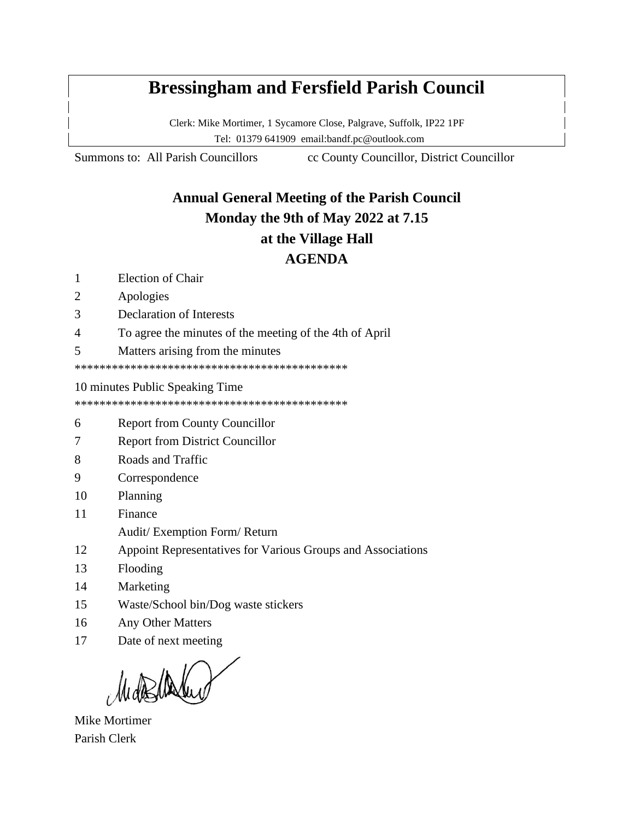# **Bressingham and Fersfield Parish Council**

Clerk: Mike Mortimer, 1 Sycamore Close, Palgrave, Suffolk, IP22 1PF Tel: 01379 641909 email:bandf.pc@outlook.com

Summons to: All Parish Councillors cc County Councillor, District Councillor

## **Annual General Meeting of the Parish Council Monday the 9th of May 2022 at 7.15 at the Village Hall AGENDA**

- 1 Election of Chair
- 2 Apologies
- 3 Declaration of Interests
- 4 To agree the minutes of the meeting of the 4th of April
- 5 Matters arising from the minutes

\*\*\*\*\*\*\*\*\*\*\*\*\*\*\*\*\*\*\*\*\*\*\*\*\*\*\*\*\*\*\*\*\*\*\*\*\*\*\*\*\*\*\*\*

10 minutes Public Speaking Time

\*\*\*\*\*\*\*\*\*\*\*\*\*\*\*\*\*\*\*\*\*\*\*\*\*\*\*\*\*\*\*\*\*\*\*\*\*\*\*\*\*\*\*\*

- 6 Report from County Councillor
- 7 Report from District Councillor
- 8 Roads and Traffic
- 9 Correspondence
- 10 Planning
- 11 Finance
	- Audit/ Exemption Form/ Return
- 12 Appoint Representatives for Various Groups and Associations
- 13 Flooding
- 14 Marketing
- 15 Waste/School bin/Dog waste stickers
- 16 Any Other Matters
- 17 Date of next meeting

Mike Mortimer Parish Clerk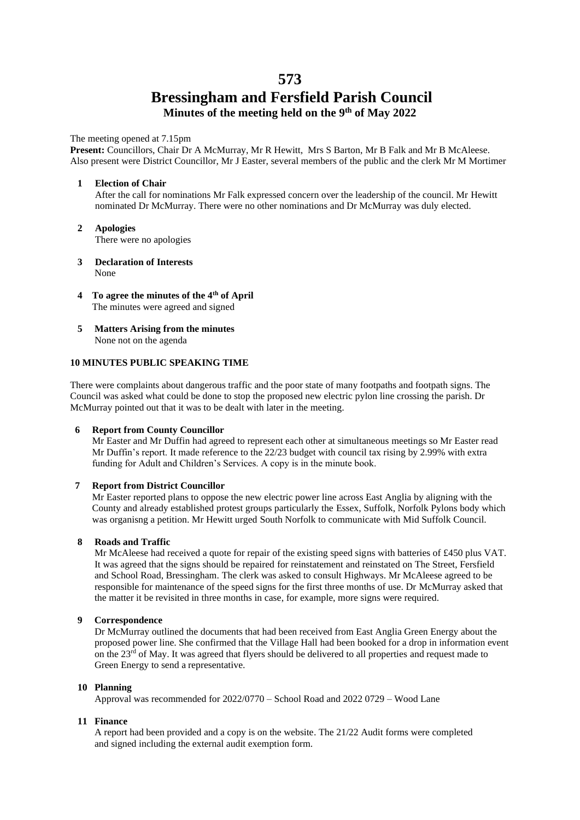### **573 Bressingham and Fersfield Parish Council Minutes of the meeting held on the 9 th of May 2022**

#### The meeting opened at 7.15pm

**Present:** Councillors, Chair Dr A McMurray, Mr R Hewitt, Mrs S Barton, Mr B Falk and Mr B McAleese. Also present were District Councillor, Mr J Easter, several members of the public and the clerk Mr M Mortimer

#### **1 Election of Chair**

After the call for nominations Mr Falk expressed concern over the leadership of the council. Mr Hewitt nominated Dr McMurray. There were no other nominations and Dr McMurray was duly elected.

- **2 Apologies** There were no apologies
- **3 Declaration of Interests** None
- **4 To agree the minutes of the 4th of April** The minutes were agreed and signed
- **5 Matters Arising from the minutes** None not on the agenda

#### **10 MINUTES PUBLIC SPEAKING TIME**

There were complaints about dangerous traffic and the poor state of many footpaths and footpath signs. The Council was asked what could be done to stop the proposed new electric pylon line crossing the parish. Dr McMurray pointed out that it was to be dealt with later in the meeting.

#### **6 Report from County Councillor**

Mr Easter and Mr Duffin had agreed to represent each other at simultaneous meetings so Mr Easter read Mr Duffin's report. It made reference to the 22/23 budget with council tax rising by 2.99% with extra funding for Adult and Children's Services. A copy is in the minute book.

#### **7 Report from District Councillor**

Mr Easter reported plans to oppose the new electric power line across East Anglia by aligning with the County and already established protest groups particularly the Essex, Suffolk, Norfolk Pylons body which was organisng a petition. Mr Hewitt urged South Norfolk to communicate with Mid Suffolk Council.

#### **8 Roads and Traffic**

 Mr McAleese had received a quote for repair of the existing speed signs with batteries of £450 plus VAT. It was agreed that the signs should be repaired for reinstatement and reinstated on The Street, Fersfield and School Road, Bressingham. The clerk was asked to consult Highways. Mr McAleese agreed to be responsible for maintenance of the speed signs for the first three months of use. Dr McMurray asked that the matter it be revisited in three months in case, for example, more signs were required.

#### **9 Correspondence**

Dr McMurray outlined the documents that had been received from East Anglia Green Energy about the proposed power line. She confirmed that the Village Hall had been booked for a drop in information event on the  $23<sup>rd</sup>$  of May. It was agreed that flyers should be delivered to all properties and request made to Green Energy to send a representative.

#### **10 Planning**

Approval was recommended for 2022/0770 – School Road and 2022 0729 – Wood Lane

#### **11 Finance**

A report had been provided and a copy is on the website. The 21/22 Audit forms were completed and signed including the external audit exemption form.